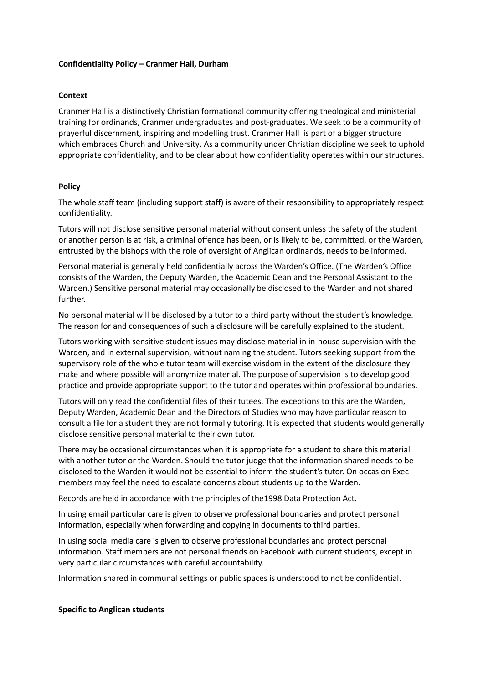## **Confidentiality Policy – Cranmer Hall, Durham**

## **Context**

Cranmer Hall is a distinctively Christian formational community offering theological and ministerial training for ordinands, Cranmer undergraduates and post-graduates. We seek to be a community of prayerful discernment, inspiring and modelling trust. Cranmer Hall is part of a bigger structure which embraces Church and University. As a community under Christian discipline we seek to uphold appropriate confidentiality, and to be clear about how confidentiality operates within our structures.

## **Policy**

The whole staff team (including support staff) is aware of their responsibility to appropriately respect confidentiality.

Tutors will not disclose sensitive personal material without consent unless the safety of the student or another person is at risk, a criminal offence has been, or is likely to be, committed, or the Warden, entrusted by the bishops with the role of oversight of Anglican ordinands, needs to be informed.

Personal material is generally held confidentially across the Warden's Office. (The Warden's Office consists of the Warden, the Deputy Warden, the Academic Dean and the Personal Assistant to the Warden.) Sensitive personal material may occasionally be disclosed to the Warden and not shared further.

No personal material will be disclosed by a tutor to a third party without the student's knowledge. The reason for and consequences of such a disclosure will be carefully explained to the student.

Tutors working with sensitive student issues may disclose material in in-house supervision with the Warden, and in external supervision, without naming the student. Tutors seeking support from the supervisory role of the whole tutor team will exercise wisdom in the extent of the disclosure they make and where possible will anonymize material. The purpose of supervision is to develop good practice and provide appropriate support to the tutor and operates within professional boundaries.

Tutors will only read the confidential files of their tutees. The exceptions to this are the Warden, Deputy Warden, Academic Dean and the Directors of Studies who may have particular reason to consult a file for a student they are not formally tutoring. It is expected that students would generally disclose sensitive personal material to their own tutor.

There may be occasional circumstances when it is appropriate for a student to share this material with another tutor or the Warden. Should the tutor judge that the information shared needs to be disclosed to the Warden it would not be essential to inform the student's tutor. On occasion Exec members may feel the need to escalate concerns about students up to the Warden.

Records are held in accordance with the principles of the1998 Data Protection Act.

In using email particular care is given to observe professional boundaries and protect personal information, especially when forwarding and copying in documents to third parties.

In using social media care is given to observe professional boundaries and protect personal information. Staff members are not personal friends on Facebook with current students, except in very particular circumstances with careful accountability.

Information shared in communal settings or public spaces is understood to not be confidential.

## **Specific to Anglican students**